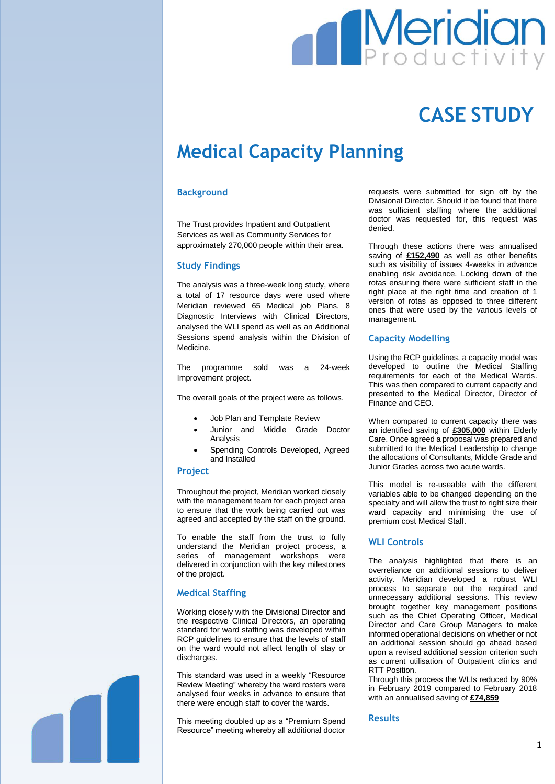# **Meridian**

## **CASE STUDY**

### **Medical Capacity Planning**

#### **Background**

The Trust provides Inpatient and Outpatient Services as well as Community Services for approximately 270,000 people within their area.

#### **Study Findings**

The analysis was a three-week long study, where a total of 17 resource days were used where Meridian reviewed 65 Medical job Plans, 8 Diagnostic Interviews with Clinical Directors, analysed the WLI spend as well as an Additional Sessions spend analysis within the Division of Medicine.

The programme sold was a 24-week Improvement project.

The overall goals of the project were as follows.

- Job Plan and Template Review
- Junior and Middle Grade Doctor Analysis
- Spending Controls Developed, Agreed and Installed

#### **Project**

Throughout the project, Meridian worked closely with the management team for each project area to ensure that the work being carried out was agreed and accepted by the staff on the ground.

To enable the staff from the trust to fully understand the Meridian project process, a series of management workshops were delivered in conjunction with the key milestones of the project.

#### **Medical Staffing**

Working closely with the Divisional Director and the respective Clinical Directors, an operating standard for ward staffing was developed within RCP guidelines to ensure that the levels of staff on the ward would not affect length of stay or discharges.

This standard was used in a weekly "Resource Review Meeting" whereby the ward rosters were analysed four weeks in advance to ensure that there were enough staff to cover the wards.

This meeting doubled up as a "Premium Spend Resource" meeting whereby all additional doctor

requests were submitted for sign off by the Divisional Director. Should it be found that there was sufficient staffing where the additional doctor was requested for, this request was denied.

Through these actions there was annualised saving of **£152,490** as well as other benefits such as visibility of issues 4-weeks in advance enabling risk avoidance. Locking down of the rotas ensuring there were sufficient staff in the right place at the right time and creation of 1 version of rotas as opposed to three different ones that were used by the various levels of management.

#### **Capacity Modelling**

Using the RCP guidelines, a capacity model was developed to outline the Medical Staffing requirements for each of the Medical Wards. This was then compared to current capacity and presented to the Medical Director, Director of Finance and CEO.

When compared to current capacity there was an identified saving of **£305,000** within Elderly Care. Once agreed a proposal was prepared and submitted to the Medical Leadership to change the allocations of Consultants, Middle Grade and Junior Grades across two acute wards.

This model is re-useable with the different variables able to be changed depending on the specialty and will allow the trust to right size their ward capacity and minimising the use of premium cost Medical Staff.

#### **WLI Controls**

The analysis highlighted that there is an overreliance on additional sessions to deliver activity. Meridian developed a robust WLI process to separate out the required and unnecessary additional sessions. This review brought together key management positions such as the Chief Operating Officer, Medical Director and Care Group Managers to make informed operational decisions on whether or not an additional session should go ahead based upon a revised additional session criterion such as current utilisation of Outpatient clinics and RTT Position.

Through this process the WLIs reduced by 90% in February 2019 compared to February 2018 with an annualised saving of **£74,859**

#### **Results**